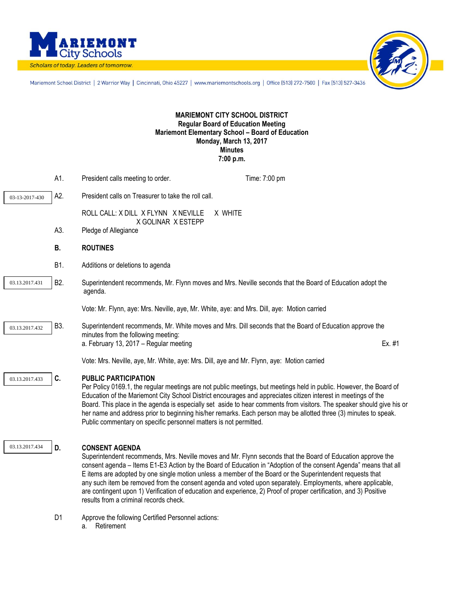



Mariemont School District | 2 Warrior Way | Cincinnati, Ohio 45227 | www.mariemontschools.org | Office [513] 272-7500 | Fax [513] 527-3436

## **MARIEMONT CITY SCHOOL DISTRICT Regular Board of Education Meeting Mariemont Elementary School – Board of Education Monday, March 13, 2017 Minutes 7:00 p.m.**

|                | A1.              | President calls meeting to order.                                                                | Time: 7:00 pm                                                                                                                                                                                                                                                                                                                                                                                                                                                                                                                                                                    |        |
|----------------|------------------|--------------------------------------------------------------------------------------------------|----------------------------------------------------------------------------------------------------------------------------------------------------------------------------------------------------------------------------------------------------------------------------------------------------------------------------------------------------------------------------------------------------------------------------------------------------------------------------------------------------------------------------------------------------------------------------------|--------|
| 03-13-2017-430 | A2.              | President calls on Treasurer to take the roll call.                                              |                                                                                                                                                                                                                                                                                                                                                                                                                                                                                                                                                                                  |        |
|                |                  | ROLL CALL: X DILL X FLYNN X NEVILLE                                                              | X WHITE                                                                                                                                                                                                                                                                                                                                                                                                                                                                                                                                                                          |        |
|                | A3.              | X GOLINAR X ESTEPP<br>Pledge of Allegiance                                                       |                                                                                                                                                                                                                                                                                                                                                                                                                                                                                                                                                                                  |        |
|                | В.               | <b>ROUTINES</b>                                                                                  |                                                                                                                                                                                                                                                                                                                                                                                                                                                                                                                                                                                  |        |
|                | B1.              | Additions or deletions to agenda                                                                 |                                                                                                                                                                                                                                                                                                                                                                                                                                                                                                                                                                                  |        |
| 03.13.2017.431 | B <sub>2</sub> . | agenda.                                                                                          | Superintendent recommends, Mr. Flynn moves and Mrs. Neville seconds that the Board of Education adopt the                                                                                                                                                                                                                                                                                                                                                                                                                                                                        |        |
|                |                  | Vote: Mr. Flynn, aye: Mrs. Neville, aye, Mr. White, aye: and Mrs. Dill, aye: Motion carried      |                                                                                                                                                                                                                                                                                                                                                                                                                                                                                                                                                                                  |        |
| 03.13.2017.432 | B3.              | minutes from the following meeting:<br>a. February 13, 2017 - Regular meeting                    | Superintendent recommends, Mr. White moves and Mrs. Dill seconds that the Board of Education approve the                                                                                                                                                                                                                                                                                                                                                                                                                                                                         | Ex. #1 |
|                |                  | Vote: Mrs. Neville, aye, Mr. White, aye: Mrs. Dill, aye and Mr. Flynn, aye: Motion carried       |                                                                                                                                                                                                                                                                                                                                                                                                                                                                                                                                                                                  |        |
| 03.13.2017.433 | C.               | <b>PUBLIC PARTICIPATION</b><br>Public commentary on specific personnel matters is not permitted. | Per Policy 0169.1, the regular meetings are not public meetings, but meetings held in public. However, the Board of<br>Education of the Mariemont City School District encourages and appreciates citizen interest in meetings of the<br>Board. This place in the agenda is especially set aside to hear comments from visitors. The speaker should give his or<br>her name and address prior to beginning his/her remarks. Each person may be allotted three (3) minutes to speak.                                                                                              |        |
| 03.13.2017.434 | D.               | <b>CONSENT AGENDA</b><br>results from a criminal records check.                                  | Superintendent recommends, Mrs. Neville moves and Mr. Flynn seconds that the Board of Education approve the<br>consent agenda - Items E1-E3 Action by the Board of Education in "Adoption of the consent Agenda" means that all<br>E items are adopted by one single motion unless a member of the Board or the Superintendent requests that<br>any such item be removed from the consent agenda and voted upon separately. Employments, where applicable,<br>are contingent upon 1) Verification of education and experience, 2) Proof of proper certification, and 3) Positive |        |
|                | D <sub>1</sub>   | Approve the following Certified Personnel actions:                                               |                                                                                                                                                                                                                                                                                                                                                                                                                                                                                                                                                                                  |        |

a. Retirement